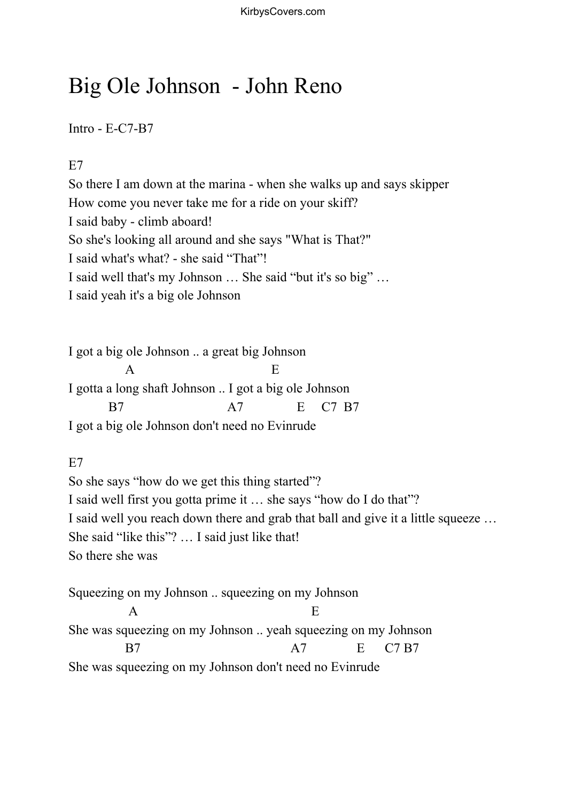# Big Ole Johnson - John Reno

Intro - E-C7-B7

E<sub>7</sub>

So there I am down at the marina - when she walks up and says skipper How come you never take me for a ride on your skiff? I said baby - climb aboard! So she's looking all around and she says "What is That?" I said what's what? - she said "That"! I said well that's my Johnson … She said "but it's so big" … I said yeah it's a big ole Johnson

I got a big ole Johnson .. a great big Johnson  $\mathbf A$  E I gotta a long shaft Johnson .. I got a big ole Johnson B7 A7 E C7 B7 I got a big ole Johnson don't need no Evinrude

E7

So she says "how do we get this thing started"? I said well first you gotta prime it … she says "how do I do that"? I said well you reach down there and grab that ball and give it a little squeeze … She said "like this"? … I said just like that! So there she was

Squeezing on my Johnson .. squeezing on my Johnson  $\mathbf A$  E She was squeezing on my Johnson .. yeah squeezing on my Johnson B7 A7 E C7 B7 She was squeezing on my Johnson don't need no Evinrude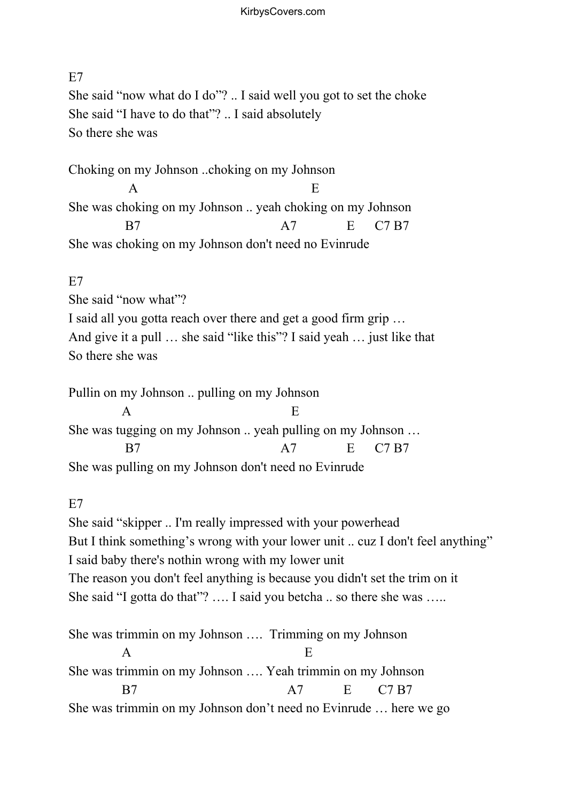# E7 She said "now what do I do"? .. I said well you got to set the choke She said "I have to do that"? .. I said absolutely So there she was

Choking on my Johnson ..choking on my Johnson  $\mathbf A$  E She was choking on my Johnson .. yeah choking on my Johnson B7 A7 E C7 B7 She was choking on my Johnson don't need no Evinrude

### E7

She said "now what"?

I said all you gotta reach over there and get a good firm grip … And give it a pull … she said "like this"? I said yeah … just like that So there she was

Pullin on my Johnson .. pulling on my Johnson  $\mathbf A$  E She was tugging on my Johnson .. yeah pulling on my Johnson … B7 A7 E C7 B7 She was pulling on my Johnson don't need no Evinrude

## E7

She said "skipper .. I'm really impressed with your powerhead But I think something's wrong with your lower unit .. cuz I don't feel anything" I said baby there's nothin wrong with my lower unit The reason you don't feel anything is because you didn't set the trim on it She said "I gotta do that"? .... I said you betcha .. so there she was .....

She was trimmin on my Johnson …. Trimming on my Johnson  $\mathbf A$  E She was trimmin on my Johnson …. Yeah trimmin on my Johnson B7 A7 E C7 B7 She was trimmin on my Johnson don't need no Evinrude … here we go